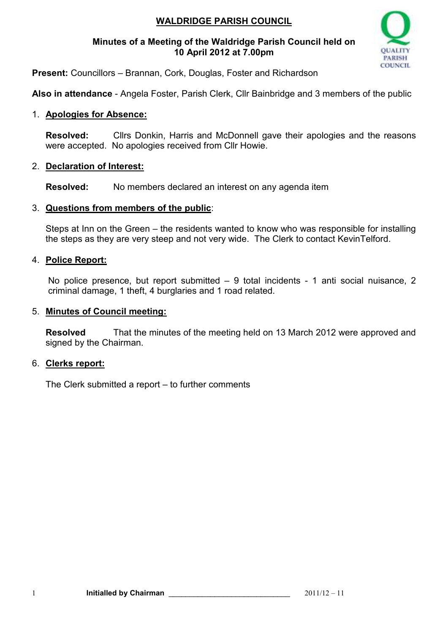# **WALDRIDGE PARISH COUNCIL**

### **Minutes of a Meeting of the Waldridge Parish Council held on 10 April 2012 at 7.00pm**



**Present:** Councillors – Brannan, Cork, Douglas, Foster and Richardson

**Also in attendance** - Angela Foster, Parish Clerk, Cllr Bainbridge and 3 members of the public

# 1. **Apologies for Absence:**

**Resolved:** Cllrs Donkin, Harris and McDonnell gave their apologies and the reasons were accepted. No apologies received from Cllr Howie.

# 2. **Declaration of Interest:**

**Resolved:** No members declared an interest on any agenda item

# 3. **Questions from members of the public**:

Steps at Inn on the Green – the residents wanted to know who was responsible for installing the steps as they are very steep and not very wide. The Clerk to contact KevinTelford.

# 4. **Police Report:**

No police presence, but report submitted – 9 total incidents - 1 anti social nuisance, 2 criminal damage, 1 theft, 4 burglaries and 1 road related.

### 5. **Minutes of Council meeting:**

**Resolved** That the minutes of the meeting held on 13 March 2012 were approved and signed by the Chairman.

### 6. **Clerks report:**

The Clerk submitted a report – to further comments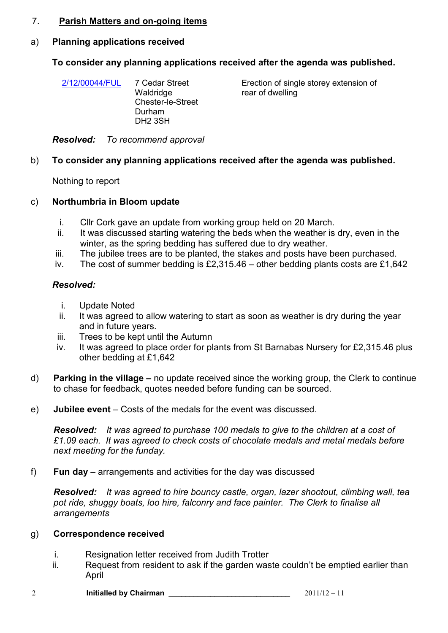### 7. **Parish Matters and on-going items**

### a) **Planning applications received**

### **To consider any planning applications received after the agenda was published.**

| 2/12/00044/FUL | 7 Cedar Street           |
|----------------|--------------------------|
|                | Waldridge                |
|                | <b>Chester-le-Street</b> |
|                | Durham                   |
|                | DH <sub>2</sub> 3SH      |
|                |                          |

Erection of single storey extension of rear of dwelling

*Resolved: To recommend approval*

#### b) **To consider any planning applications received after the agenda was published.**

Nothing to report

#### c) **Northumbria in Bloom update**

- i. Cllr Cork gave an update from working group held on 20 March.
- ii. It was discussed starting watering the beds when the weather is dry, even in the winter, as the spring bedding has suffered due to dry weather.
- iii. The jubilee trees are to be planted, the stakes and posts have been purchased.
- iv. The cost of summer bedding is £2,315.46 other bedding plants costs are £1,642

#### *Resolved:*

- i. Update Noted
- ii. It was agreed to allow watering to start as soon as weather is dry during the year and in future years.
- iii. Trees to be kept until the Autumn
- iv. It was agreed to place order for plants from St Barnabas Nursery for £2,315.46 plus other bedding at £1,642
- d) **Parking in the village** no update received since the working group, the Clerk to continue to chase for feedback, quotes needed before funding can be sourced.
- e) **Jubilee event**  Costs of the medals for the event was discussed.

*Resolved: It was agreed to purchase 100 medals to give to the children at a cost of £1.09 each. It was agreed to check costs of chocolate medals and metal medals before next meeting for the funday.* 

f) **Fun day** – arrangements and activities for the day was discussed

*Resolved: It was agreed to hire bouncy castle, organ, lazer shootout, climbing wall, tea pot ride, shuggy boats, loo hire, falconry and face painter. The Clerk to finalise all arrangements* 

#### g) **Correspondence received**

- i. Resignation letter received from Judith Trotter
- ii. Request from resident to ask if the garden waste couldn't be emptied earlier than April
- 2 **Initialled by Chairman** \_\_\_\_\_\_\_\_\_\_\_\_\_\_\_\_\_\_\_\_\_\_\_\_\_\_\_\_\_ 2011/12 11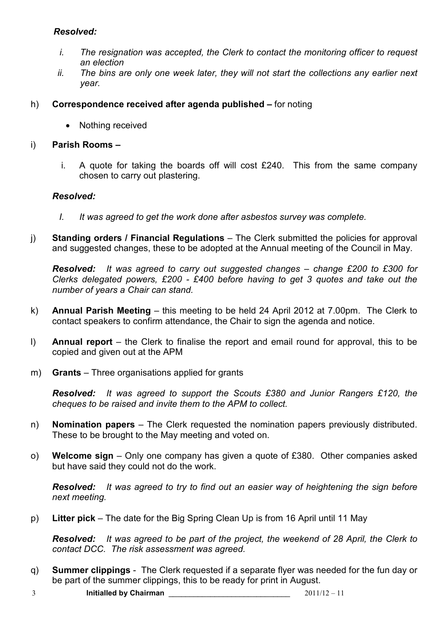### *Resolved:*

- *i. The resignation was accepted, the Clerk to contact the monitoring officer to request an election*
- *ii. The bins are only one week later, they will not start the collections any earlier next year.*
- h) **Correspondence received after agenda published –** for noting
	- Nothing received

### i) **Parish Rooms –**

i. A quote for taking the boards off will cost £240. This from the same company chosen to carry out plastering.

#### *Resolved:*

- *I. It was agreed to get the work done after asbestos survey was complete.*
- j) **Standing orders / Financial Regulations**  The Clerk submitted the policies for approval and suggested changes, these to be adopted at the Annual meeting of the Council in May.

*Resolved: It was agreed to carry out suggested changes – change £200 to £300 for Clerks delegated powers, £200 - £400 before having to get 3 quotes and take out the number of years a Chair can stand.* 

- k) **Annual Parish Meeting** this meeting to be held 24 April 2012 at 7.00pm. The Clerk to contact speakers to confirm attendance, the Chair to sign the agenda and notice.
- l) **Annual report**  the Clerk to finalise the report and email round for approval, this to be copied and given out at the APM
- m) **Grants**  Three organisations applied for grants

*Resolved: It was agreed to support the Scouts £380 and Junior Rangers £120, the cheques to be raised and invite them to the APM to collect.*

- n) **Nomination papers**  The Clerk requested the nomination papers previously distributed. These to be brought to the May meeting and voted on.
- o) **Welcome sign** Only one company has given a quote of £380. Other companies asked but have said they could not do the work.

*Resolved: It was agreed to try to find out an easier way of heightening the sign before next meeting.*

p) **Litter pick** – The date for the Big Spring Clean Up is from 16 April until 11 May

*Resolved: It was agreed to be part of the project, the weekend of 28 April, the Clerk to contact DCC. The risk assessment was agreed.* 

- q) **Summer clippings**  The Clerk requested if a separate flyer was needed for the fun day or be part of the summer clippings, this to be ready for print in August.
- 3 **Initialled by Chairman** \_\_\_\_\_\_\_\_\_\_\_\_\_\_\_\_\_\_\_\_\_\_\_\_\_\_\_\_\_ 2011/12 11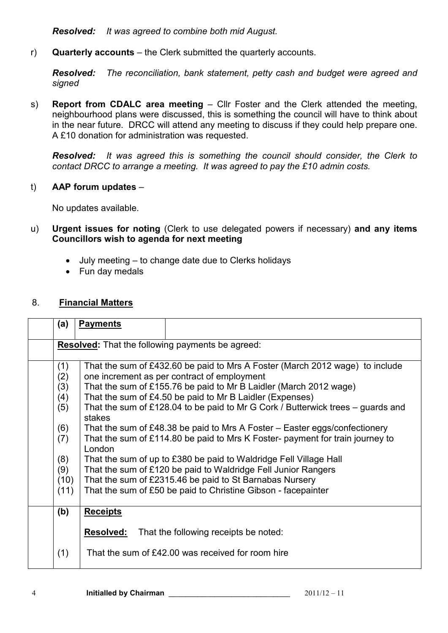*Resolved: It was agreed to combine both mid August.*

r) **Quarterly accounts** – the Clerk submitted the quarterly accounts.

*Resolved: The reconciliation, bank statement, petty cash and budget were agreed and signed*

s) **Report from CDALC area meeting – CIIr Foster and the Clerk attended the meeting.** neighbourhood plans were discussed, this is something the council will have to think about in the near future. DRCC will attend any meeting to discuss if they could help prepare one. A £10 donation for administration was requested.

*Resolved: It was agreed this is something the council should consider, the Clerk to contact DRCC to arrange a meeting. It was agreed to pay the £10 admin costs.*

t) **AAP forum updates** –

No updates available.

- u) **Urgent issues for noting** (Clerk to use delegated powers if necessary) **and any items Councillors wish to agenda for next meeting** 
	- July meeting to change date due to Clerks holidays
	- Fun day medals

### 8. **Financial Matters**

| (a)                                                     | <b>Payments</b>                                                                           |  |  |  |
|---------------------------------------------------------|-------------------------------------------------------------------------------------------|--|--|--|
| <b>Resolved:</b> That the following payments be agreed: |                                                                                           |  |  |  |
| (1)                                                     | That the sum of £432.60 be paid to Mrs A Foster (March 2012 wage) to include              |  |  |  |
| (2)                                                     | one increment as per contract of employment                                               |  |  |  |
| (3)                                                     | That the sum of £155.76 be paid to Mr B Laidler (March 2012 wage)                         |  |  |  |
| (4)                                                     | That the sum of £4.50 be paid to Mr B Laidler (Expenses)                                  |  |  |  |
| (5)                                                     | That the sum of £128.04 to be paid to Mr G Cork / Butterwick trees - guards and<br>stakes |  |  |  |
| (6)                                                     | That the sum of £48.38 be paid to Mrs A Foster – Easter eggs/confectionery                |  |  |  |
| (7)                                                     | That the sum of £114.80 be paid to Mrs K Foster- payment for train journey to<br>London   |  |  |  |
| (8)                                                     | That the sum of up to £380 be paid to Waldridge Fell Village Hall                         |  |  |  |
| (9)                                                     | That the sum of £120 be paid to Waldridge Fell Junior Rangers                             |  |  |  |
| (10)                                                    | That the sum of £2315.46 be paid to St Barnabas Nursery                                   |  |  |  |
| (11)                                                    | That the sum of £50 be paid to Christine Gibson - facepainter                             |  |  |  |
| (b)                                                     | <b>Receipts</b>                                                                           |  |  |  |
|                                                         | <b>Resolved:</b><br>That the following receipts be noted:                                 |  |  |  |
| (1)                                                     | That the sum of £42.00 was received for room hire                                         |  |  |  |